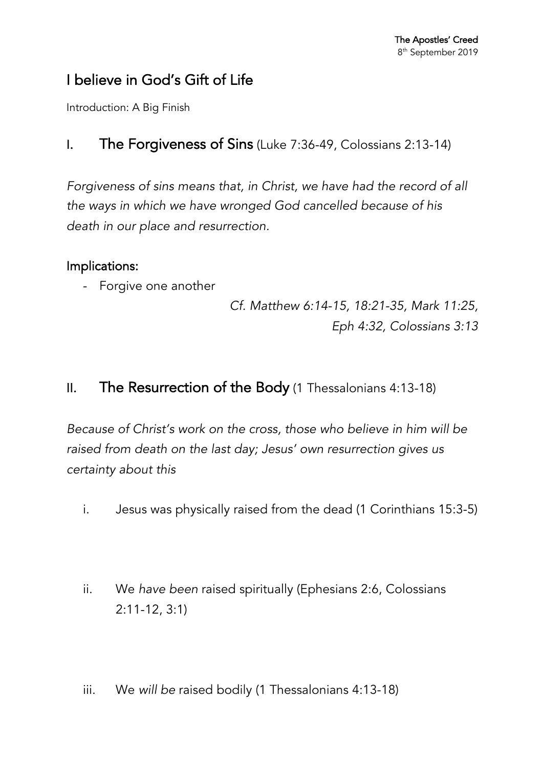# I believe in God's Gift of Life

Introduction: A Big Finish

### I. The Forgiveness of Sins (Luke 7:36-49, Colossians 2:13-14)

*Forgiveness of sins means that, in Christ, we have had the record of all the ways in which we have wronged God cancelled because of his death in our place and resurrection.*

### Implications:

- Forgive one another

*Cf. Matthew 6:14-15, 18:21-35, Mark 11:25, Eph 4:32, Colossians 3:13*

## II. The Resurrection of the Body (1 Thessalonians 4:13-18)

*Because of Christ's work on the cross, those who believe in him will be raised from death on the last day; Jesus' own resurrection gives us certainty about this*

- i. Jesus was physically raised from the dead (1 Corinthians 15:3-5)
- ii. We *have been* raised spiritually (Ephesians 2:6, Colossians 2:11-12, 3:1)
- iii. We *will be* raised bodily (1 Thessalonians 4:13-18)